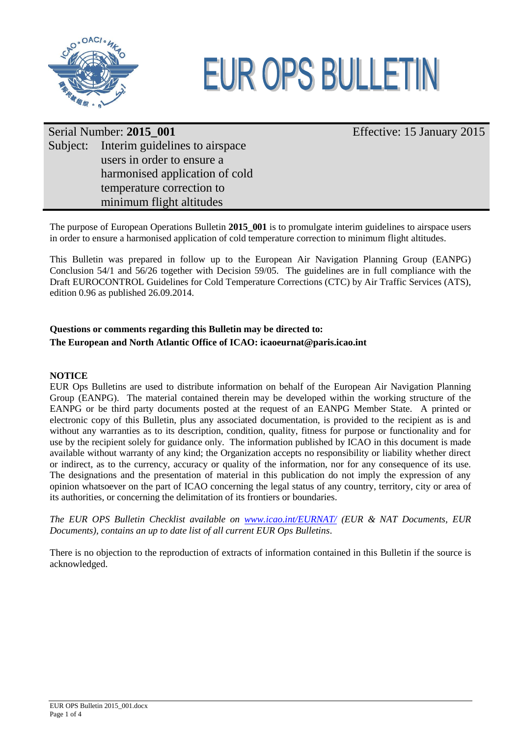



Effective: 15 January 2015

# Serial Number: **2015\_001** Subject: Interim guidelines to airspace users in order to ensure a harmonised application of cold temperature correction to minimum flight altitudes

The purpose of European Operations Bulletin **2015\_001** is to promulgate interim guidelines to airspace users in order to ensure a harmonised application of cold temperature correction to minimum flight altitudes.

This Bulletin was prepared in follow up to the European Air Navigation Planning Group (EANPG) Conclusion 54/1 and 56/26 together with Decision 59/05. The guidelines are in full compliance with the Draft EUROCONTROL Guidelines for Cold Temperature Corrections (CTC) by Air Traffic Services (ATS), edition 0.96 as published 26.09.2014.

### **Questions or comments regarding this Bulletin may be directed to:**

### **The European and North Atlantic Office of ICAO: icaoeurnat@paris.icao.int**

### **NOTICE**

EUR Ops Bulletins are used to distribute information on behalf of the European Air Navigation Planning Group (EANPG). The material contained therein may be developed within the working structure of the EANPG or be third party documents posted at the request of an EANPG Member State. A printed or electronic copy of this Bulletin, plus any associated documentation, is provided to the recipient as is and without any warranties as to its description, condition, quality, fitness for purpose or functionality and for use by the recipient solely for guidance only. The information published by ICAO in this document is made available without warranty of any kind; the Organization accepts no responsibility or liability whether direct or indirect, as to the currency, accuracy or quality of the information, nor for any consequence of its use. The designations and the presentation of material in this publication do not imply the expression of any opinion whatsoever on the part of ICAO concerning the legal status of any country, territory, city or area of its authorities, or concerning the delimitation of its frontiers or boundaries.

*The EUR OPS Bulletin Checklist available on [www.icao.int/EURNAT/](http://www.icao.int/EURNAT/) (EUR & NAT Documents, EUR Documents), contains an up to date list of all current EUR Ops Bulletins*.

There is no objection to the reproduction of extracts of information contained in this Bulletin if the source is acknowledged.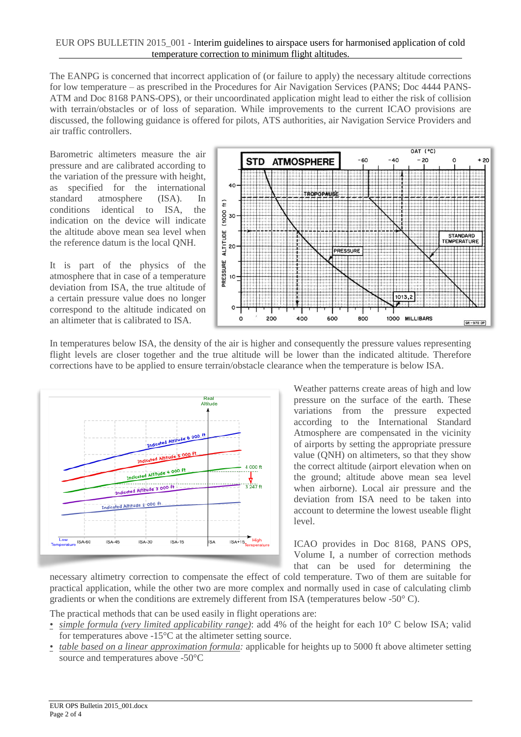#### EUR OPS BULLETIN 2015\_001 - Interim guidelines to airspace users for harmonised application of cold temperature correction to minimum flight altitudes.

The EANPG is concerned that incorrect application of (or failure to apply) the necessary altitude corrections for low temperature – as prescribed in the Procedures for Air Navigation Services (PANS; Doc 4444 PANS-ATM and Doc 8168 PANS-OPS), or their uncoordinated application might lead to either the risk of collision with terrain/obstacles or of loss of separation. While improvements to the current ICAO provisions are discussed, the following guidance is offered for pilots, ATS authorities, air Navigation Service Providers and air traffic controllers.

Barometric altimeters measure the air pressure and are calibrated according to the variation of the pressure with height, as specified for the international standard atmosphere (ISA). In conditions identical to ISA, the indication on the device will indicate the altitude above mean sea level when the reference datum is the local QNH.

It is part of the physics of the atmosphere that in case of a temperature deviation from ISA, the true altitude of a certain pressure value does no longer correspond to the altitude indicated on an altimeter that is calibrated to ISA.



In temperatures below ISA, the density of the air is higher and consequently the pressure values representing flight levels are closer together and the true altitude will be lower than the indicated altitude. Therefore corrections have to be applied to ensure terrain/obstacle clearance when the temperature is below ISA.



Weather patterns create areas of high and low pressure on the surface of the earth. These variations from the pressure expected according to the International Standard Atmosphere are compensated in the vicinity of airports by setting the appropriate pressure value (QNH) on altimeters, so that they show the correct altitude (airport elevation when on the ground; altitude above mean sea level when airborne). Local air pressure and the deviation from ISA need to be taken into account to determine the lowest useable flight level.

ICAO provides in Doc 8168, PANS OPS, Volume I, a number of correction methods that can be used for determining the

necessary altimetry correction to compensate the effect of cold temperature. Two of them are suitable for practical application, while the other two are more complex and normally used in case of calculating climb gradients or when the conditions are extremely different from ISA (temperatures below -50 $^{\circ}$  C).

The practical methods that can be used easily in flight operations are:

- *simple formula (very limited applicability range)*: add 4% of the height for each 10° C below ISA; valid for temperatures above -15°C at the altimeter setting source.
- *table based on a linear approximation formula:* applicable for heights up to 5000 ft above altimeter setting source and temperatures above -50°C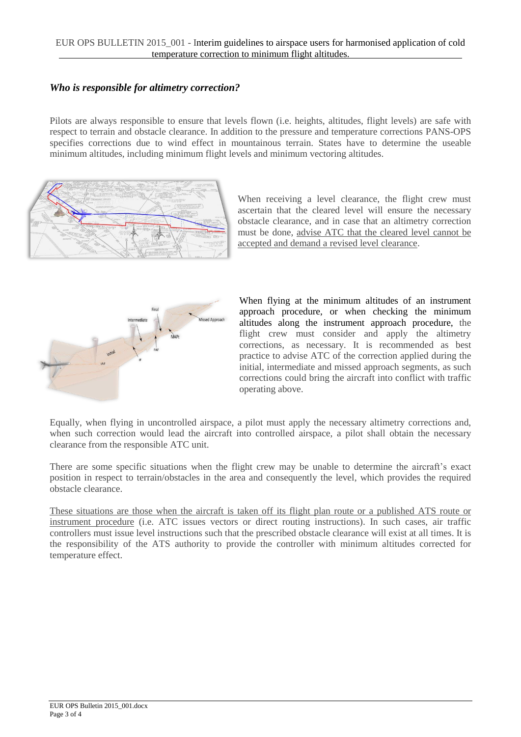### *Who is responsible for altimetry correction?*

Pilots are always responsible to ensure that levels flown (i.e. heights, altitudes, flight levels) are safe with respect to terrain and obstacle clearance. In addition to the pressure and temperature corrections PANS-OPS specifies corrections due to wind effect in mountainous terrain. States have to determine the useable minimum altitudes, including minimum flight levels and minimum vectoring altitudes.



When receiving a level clearance, the flight crew must ascertain that the cleared level will ensure the necessary obstacle clearance, and in case that an altimetry correction must be done, advise ATC that the cleared level cannot be accepted and demand a revised level clearance.



When flying at the minimum altitudes of an instrument approach procedure, or when checking the minimum altitudes along the instrument approach procedure, the flight crew must consider and apply the altimetry corrections, as necessary. It is recommended as best practice to advise ATC of the correction applied during the initial, intermediate and missed approach segments, as such corrections could bring the aircraft into conflict with traffic operating above.

Equally, when flying in uncontrolled airspace, a pilot must apply the necessary altimetry corrections and, when such correction would lead the aircraft into controlled airspace, a pilot shall obtain the necessary clearance from the responsible ATC unit.

There are some specific situations when the flight crew may be unable to determine the aircraft's exact position in respect to terrain/obstacles in the area and consequently the level, which provides the required obstacle clearance.

These situations are those when the aircraft is taken off its flight plan route or a published ATS route or instrument procedure (i.e. ATC issues vectors or direct routing instructions). In such cases, air traffic controllers must issue level instructions such that the prescribed obstacle clearance will exist at all times. It is the responsibility of the ATS authority to provide the controller with minimum altitudes corrected for temperature effect.